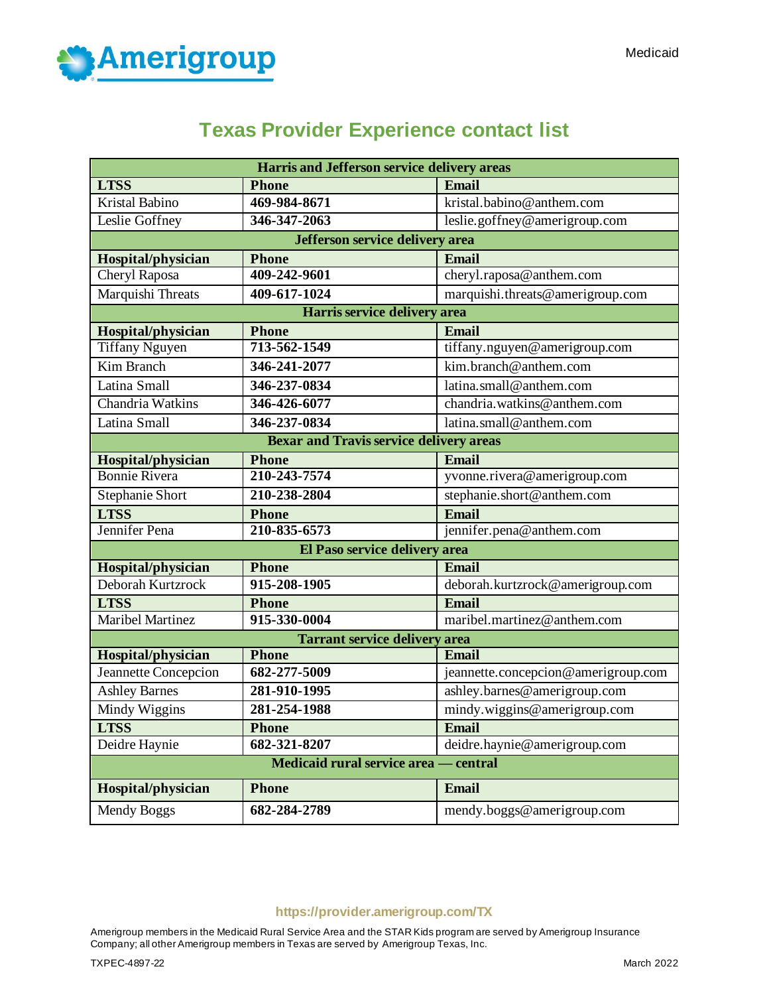

# **Texas Provider Experience contact list**

| <b>Harris and Jefferson service delivery areas</b> |                               |                                     |  |  |
|----------------------------------------------------|-------------------------------|-------------------------------------|--|--|
| <b>LTSS</b>                                        | <b>Phone</b>                  | Email                               |  |  |
| <b>Kristal Babino</b>                              | 469-984-8671                  | kristal.babino@anthem.com           |  |  |
| Leslie Goffney                                     | 346-347-2063                  | leslie.goffney@amerigroup.com       |  |  |
| Jefferson service delivery area                    |                               |                                     |  |  |
| Hospital/physician                                 | <b>Phone</b>                  | Email                               |  |  |
| Cheryl Raposa                                      | 409-242-9601                  | cheryl.raposa@anthem.com            |  |  |
| Marquishi Threats                                  | 409-617-1024                  | marquishi.threats@amerigroup.com    |  |  |
|                                                    | Harris service delivery area  |                                     |  |  |
| Hospital/physician                                 | <b>Phone</b>                  | Email                               |  |  |
| <b>Tiffany Nguyen</b>                              | 713-562-1549                  | tiffany.nguyen@amerigroup.com       |  |  |
| Kim Branch                                         | 346-241-2077                  | kim.branch@anthem.com               |  |  |
| Latina Small                                       | 346-237-0834                  | latina.small@anthem.com             |  |  |
| Chandria Watkins                                   | 346-426-6077                  | chandria.watkins@anthem.com         |  |  |
| Latina Small                                       | 346-237-0834                  | latina.small@anthem.com             |  |  |
| <b>Bexar and Travis service delivery areas</b>     |                               |                                     |  |  |
| Hospital/physician                                 | <b>Phone</b>                  | Email                               |  |  |
| <b>Bonnie Rivera</b>                               | 210-243-7574                  | yvonne.rivera@amerigroup.com        |  |  |
| <b>Stephanie Short</b>                             | 210-238-2804                  | stephanie.short@anthem.com          |  |  |
| <b>LTSS</b>                                        | <b>Phone</b>                  | Email                               |  |  |
| Jennifer Pena                                      | 210-835-6573                  | jennifer.pena@anthem.com            |  |  |
|                                                    | El Paso service delivery area |                                     |  |  |
| Hospital/physician                                 | <b>Phone</b>                  | Email                               |  |  |
| Deborah Kurtzrock                                  | 915-208-1905                  | deborah.kurtzrock@amerigroup.com    |  |  |
| <b>LTSS</b>                                        | <b>Phone</b>                  | Email                               |  |  |
| <b>Maribel Martinez</b>                            | 915-330-0004                  | maribel.martinez@anthem.com         |  |  |
| <b>Tarrant service delivery area</b>               |                               |                                     |  |  |
| Hospital/physician                                 | <b>Phone</b>                  | <b>Email</b>                        |  |  |
| Jeannette Concepcion                               | 682-277-5009                  | jeannette.concepcion@amerigroup.com |  |  |
| <b>Ashley Barnes</b>                               | 281-910-1995                  | ashley.barnes@amerigroup.com        |  |  |
| Mindy Wiggins                                      | 281-254-1988                  | mindy.wiggins@amerigroup.com        |  |  |
| <b>LTSS</b>                                        | <b>Phone</b>                  | <b>Email</b>                        |  |  |
| Deidre Haynie                                      | 682-321-8207                  | deidre.haynie@amerigroup.com        |  |  |
| Medicaid rural service area — central              |                               |                                     |  |  |
| Hospital/physician                                 | <b>Phone</b>                  | <b>Email</b>                        |  |  |
| Mendy Boggs                                        | 682-284-2789                  | mendy.boggs@amerigroup.com          |  |  |

# **https://provider.amerigroup.com/TX**

Amerigroup members in the Medicaid Rural Service Area and the STAR Kids program are served by Amerigroup Insurance Company; all other Amerigroup members in Texas are served by Amerigroup Texas, Inc.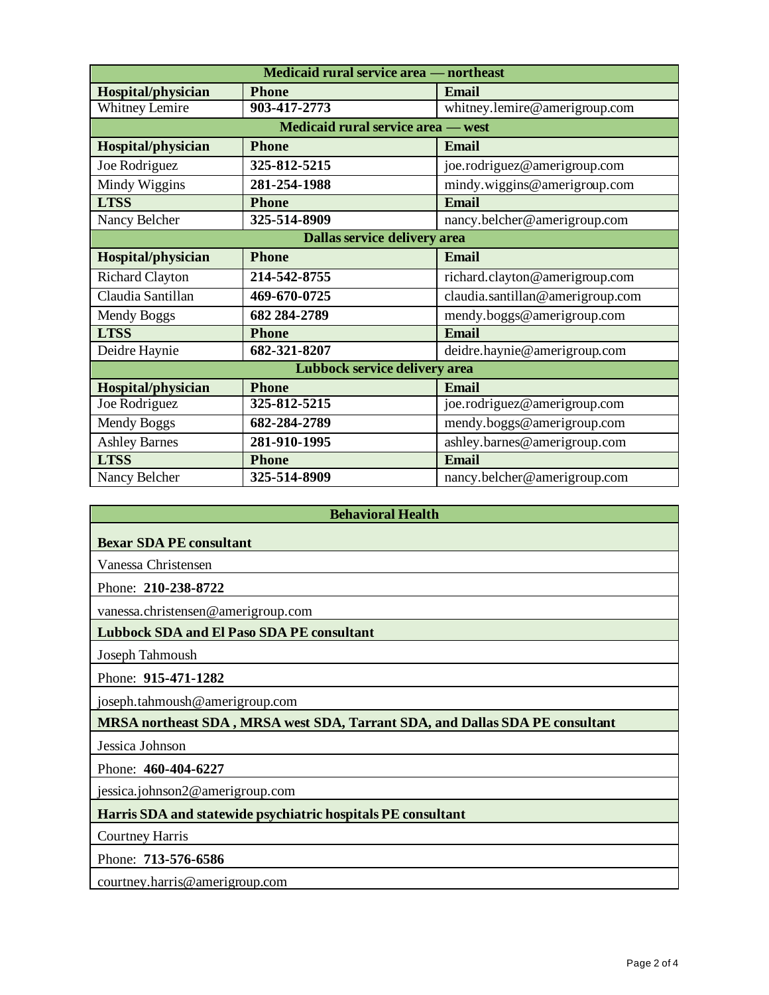| Medicaid rural service area — northeast |              |                                  |  |  |
|-----------------------------------------|--------------|----------------------------------|--|--|
| Hospital/physician                      | <b>Phone</b> | <b>Email</b>                     |  |  |
| <b>Whitney Lemire</b>                   | 903-417-2773 | whitney.lemire@amerigroup.com    |  |  |
| Medicaid rural service area - west      |              |                                  |  |  |
| Hospital/physician                      | <b>Phone</b> | <b>Email</b>                     |  |  |
| Joe Rodriguez                           | 325-812-5215 | joe.rodriguez@amerigroup.com     |  |  |
| Mindy Wiggins                           | 281-254-1988 | mindy.wiggins@amerigroup.com     |  |  |
| <b>LTSS</b>                             | <b>Phone</b> | <b>Email</b>                     |  |  |
| Nancy Belcher                           | 325-514-8909 | nancy.belcher@amerigroup.com     |  |  |
| Dallas service delivery area            |              |                                  |  |  |
| Hospital/physician                      | <b>Phone</b> | <b>Email</b>                     |  |  |
| <b>Richard Clayton</b>                  | 214-542-8755 | richard.clayton@amerigroup.com   |  |  |
| Claudia Santillan                       | 469-670-0725 | claudia.santillan@amerigroup.com |  |  |
| Mendy Boggs                             | 682 284-2789 | mendy.boggs@amerigroup.com       |  |  |
| <b>LTSS</b>                             | <b>Phone</b> | <b>Email</b>                     |  |  |
| Deidre Haynie                           | 682-321-8207 | deidre.haynie@amerigroup.com     |  |  |
| Lubbock service delivery area           |              |                                  |  |  |
| Hospital/physician                      | <b>Phone</b> | Email                            |  |  |
| Joe Rodriguez                           | 325-812-5215 | joe.rodriguez@amerigroup.com     |  |  |
| Mendy Boggs                             | 682-284-2789 | mendy.boggs@amerigroup.com       |  |  |
| <b>Ashley Barnes</b>                    | 281-910-1995 | ashley.barnes@amerigroup.com     |  |  |
| <b>LTSS</b>                             | <b>Phone</b> | <b>Email</b>                     |  |  |
| Nancy Belcher                           | 325-514-8909 | nancy.belcher@amerigroup.com     |  |  |

**Behavioral Health**

#### **Bexar SDA PE consultant**

Vanessa Christensen

Phone: **210-238-8722**

vanessa.christensen@amerigroup.com

#### **Lubbock SDA and El Paso SDA PE consultant**

Joseph Tahmoush

Phone: **915-471-1282**

joseph.tahmoush@amerigroup.com

**MRSA northeast SDA , MRSA west SDA, Tarrant SDA, and Dallas SDA PE consultant**

Jessica Johnson

Phone: **460-404-6227**

jessica.johnson2@amerigroup.com

**Harris SDA and statewide psychiatric hospitals PE consultant**

Courtney Harris

Phone: **713-576-6586**

courtney.harris@amerigroup.com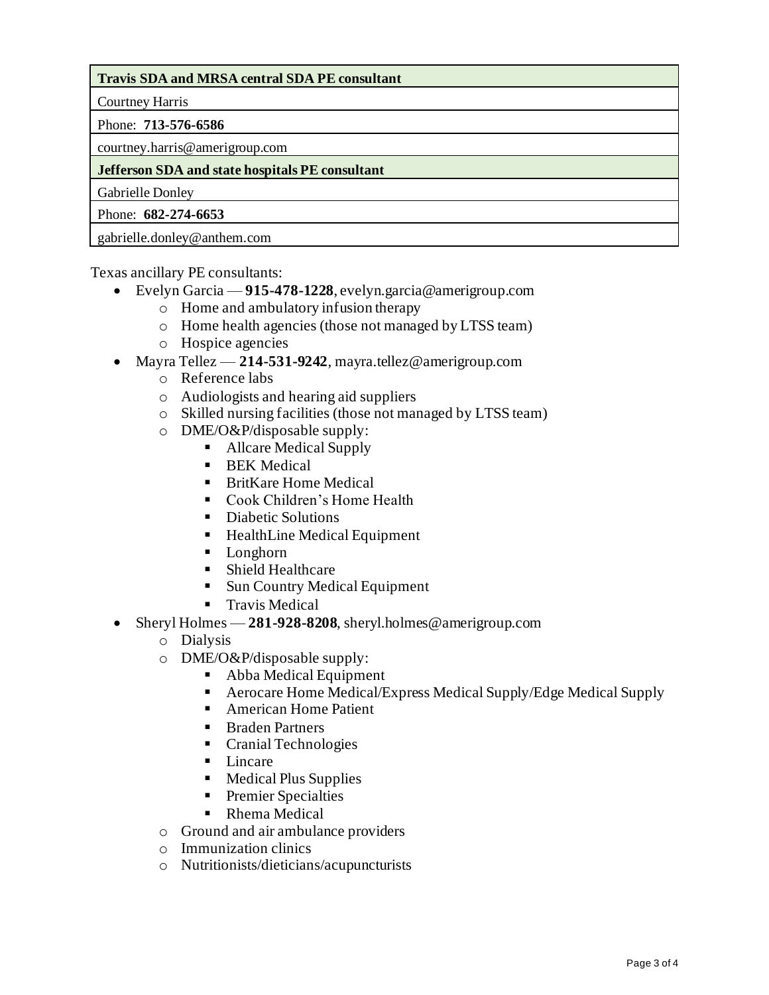# **Travis SDA and MRSA central SDA PE consultant**

Courtney Harris

### Phone: **713-576-6586**

courtney.harris@amerigroup.com

## **Jefferson SDA and state hospitals PE consultant**

Gabrielle Donley

Phone: **682-274-6653**

gabrielle.donley@anthem.com

Texas ancillary PE consultants:

- Evelyn Garcia **915-478-1228**, evelyn.garcia@amerigroup.com
	- o Home and ambulatory infusion therapy
	- o Home health agencies (those not managed by LTSS team)
	- o Hospice agencies
- Mayra Tellez **214-531-9242**, mayra.tellez@amerigroup.com
	- o Reference labs
	- o Audiologists and hearing aid suppliers
	- o Skilled nursing facilities (those not managed by LTSS team)
	- o DME/O&P/disposable supply:
		- Allcare Medical Supply
		- **BEK** Medical
		- BritKare Home Medical
		- Cook Children's Home Health
		- Diabetic Solutions
		- HealthLine Medical Equipment
		- Longhorn
		- Shield Healthcare
		- Sun Country Medical Equipment
		- Travis Medical
- Sheryl Holmes 281-928-8208, sheryl.holmes@amerigroup.com
	- o Dialysis
	- o DME/O&P/disposable supply:
		- Abba Medical Equipment
		- Aerocare Home Medical/Express Medical Supply/Edge Medical Supply
		- American Home Patient
		- Braden Partners
		- Cranial Technologies
		- Lincare
		- Medical Plus Supplies
		- **•** Premier Specialties
		- Rhema Medical
	- o Ground and air ambulance providers
	- o Immunization clinics
	- o Nutritionists/dieticians/acupuncturists